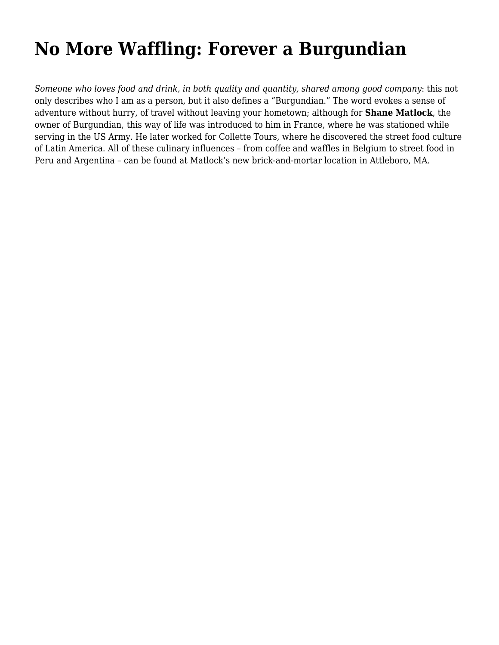## **[No More Waffling: Forever a Burgundian](https://motifri.com/no-more-waffling-forever-a-burgundian/)**

*Someone who loves food and drink, in both quality and quantity, shared among good company*: this not only describes who I am as a person, but it also defines a "Burgundian." The word evokes a sense of adventure without hurry, of travel without leaving your hometown; although for **Shane Matlock**, the owner of Burgundian, this way of life was introduced to him in France, where he was stationed while serving in the US Army. He later worked for Collette Tours, where he discovered the street food culture of Latin America. All of these culinary influences – from coffee and waffles in Belgium to street food in Peru and Argentina – can be found at Matlock's new brick-and-mortar location in Attleboro, MA.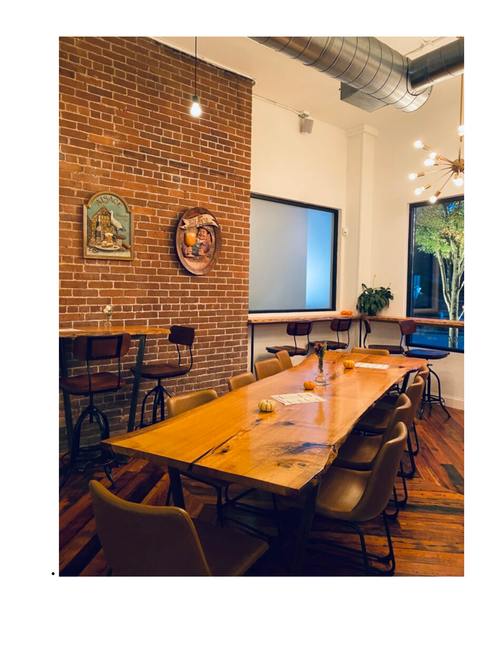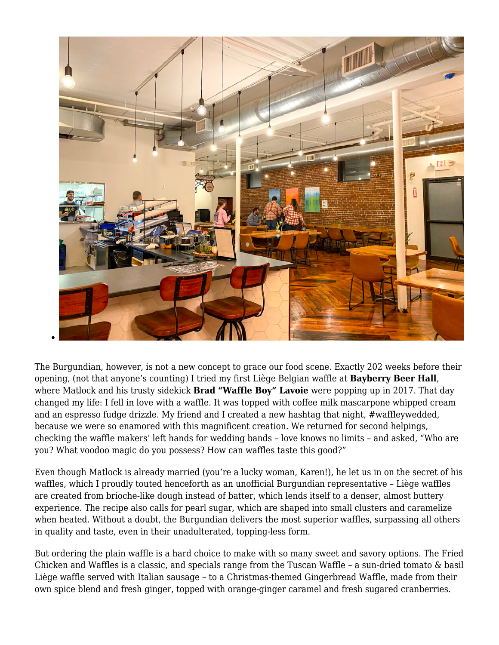

The Burgundian, however, is not a new concept to grace our food scene. Exactly 202 weeks before their opening, (not that anyone's counting) I tried my first Liège Belgian waffle at **Bayberry Beer Hall**, where Matlock and his trusty sidekick **Brad "Waffle Boy" Lavoie** were popping up in 2017. That day changed my life: I fell in love with a waffle. It was topped with coffee milk mascarpone whipped cream and an espresso fudge drizzle. My friend and I created a new hashtag that night, #waffleywedded, because we were so enamored with this magnificent creation. We returned for second helpings, checking the waffle makers' left hands for wedding bands – love knows no limits – and asked, "Who are you? What voodoo magic do you possess? How can waffles taste this good?"

Even though Matlock is already married (you're a lucky woman, Karen!), he let us in on the secret of his waffles, which I proudly touted henceforth as an unofficial Burgundian representative – Liège waffles are created from brioche-like dough instead of batter, which lends itself to a denser, almost buttery experience. The recipe also calls for pearl sugar, which are shaped into small clusters and caramelize when heated. Without a doubt, the Burgundian delivers the most superior waffles, surpassing all others in quality and taste, even in their unadulterated, topping-less form.

But ordering the plain waffle is a hard choice to make with so many sweet and savory options. The Fried Chicken and Waffles is a classic, and specials range from the Tuscan Waffle – a sun-dried tomato & basil Liège waffle served with Italian sausage – to a Christmas-themed Gingerbread Waffle, made from their own spice blend and fresh ginger, topped with orange-ginger caramel and fresh sugared cranberries.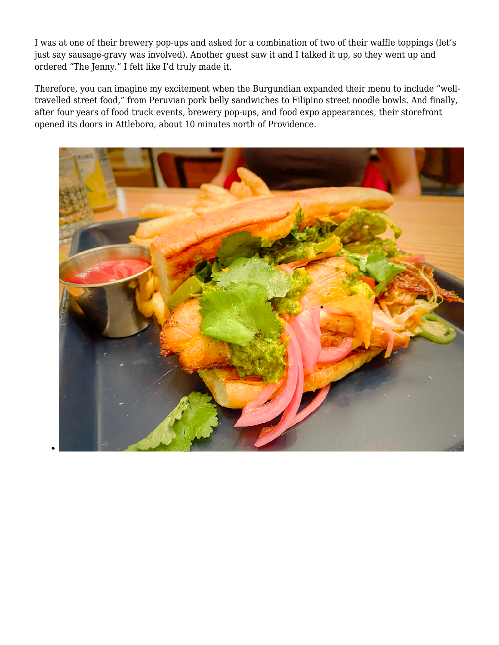I was at one of their brewery pop-ups and asked for a combination of two of their waffle toppings (let's just say sausage-gravy was involved). Another guest saw it and I talked it up, so they went up and ordered "The Jenny." I felt like I'd truly made it.

Therefore, you can imagine my excitement when the Burgundian expanded their menu to include "welltravelled street food," from Peruvian pork belly sandwiches to Filipino street noodle bowls. And finally, after four years of food truck events, brewery pop-ups, and food expo appearances, their storefront opened its doors in Attleboro, about 10 minutes north of Providence.

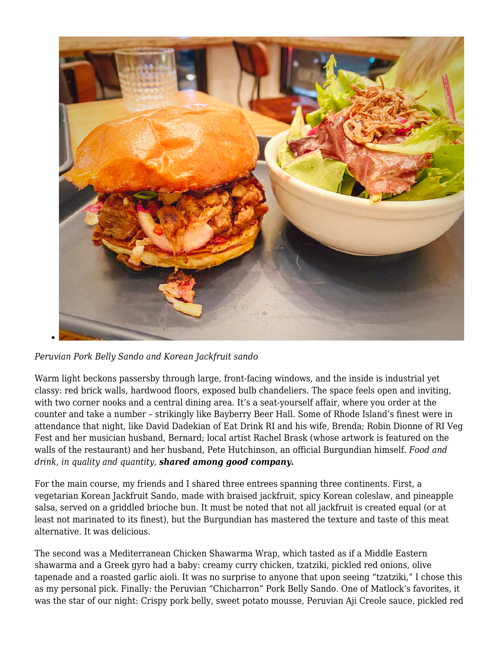

*Peruvian Pork Belly Sando and Korean Jackfruit sando*

Warm light beckons passersby through large, front-facing windows, and the inside is industrial yet classy: red brick walls, hardwood floors, exposed bulb chandeliers. The space feels open and inviting, with two corner nooks and a central dining area. It's a seat-yourself affair, where you order at the counter and take a number – strikingly like Bayberry Beer Hall. Some of Rhode Island's finest were in attendance that night, like David Dadekian of Eat Drink RI and his wife, Brenda; Robin Dionne of RI Veg Fest and her musician husband, Bernard; local artist Rachel Brask (whose artwork is featured on the walls of the restaurant) and her husband, Pete Hutchinson, an official Burgundian himself. *Food and drink, in quality and quantity, shared among good company.*

For the main course, my friends and I shared three entrees spanning three continents. First, a vegetarian Korean Jackfruit Sando, made with braised jackfruit, spicy Korean coleslaw, and pineapple salsa, served on a griddled brioche bun. It must be noted that not all jackfruit is created equal (or at least not marinated to its finest), but the Burgundian has mastered the texture and taste of this meat alternative. It was delicious.

The second was a Mediterranean Chicken Shawarma Wrap, which tasted as if a Middle Eastern shawarma and a Greek gyro had a baby: creamy curry chicken, tzatziki, pickled red onions, olive tapenade and a roasted garlic aioli. It was no surprise to anyone that upon seeing "tzatziki," I chose this as my personal pick. Finally: the Peruvian "Chicharron" Pork Belly Sando. One of Matlock's favorites, it was the star of our night: Crispy pork belly, sweet potato mousse, Peruvian Aji Creole sauce, pickled red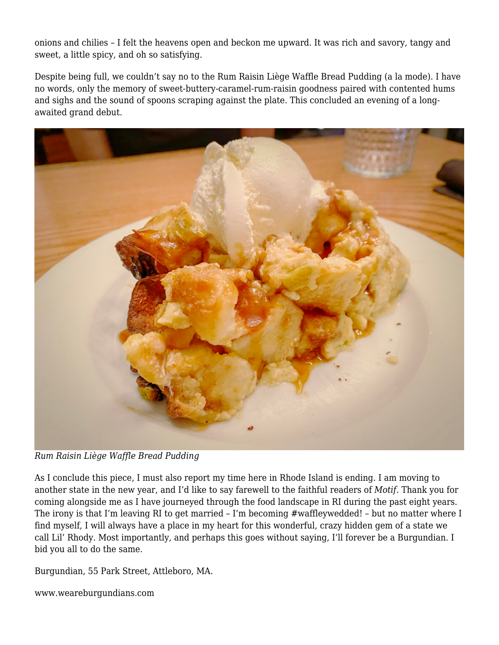onions and chilies – I felt the heavens open and beckon me upward. It was rich and savory, tangy and sweet, a little spicy, and oh so satisfying.

Despite being full, we couldn't say no to the Rum Raisin Liège Waffle Bread Pudding (a la mode). I have no words, only the memory of sweet-buttery-caramel-rum-raisin goodness paired with contented hums and sighs and the sound of spoons scraping against the plate. This concluded an evening of a longawaited grand debut.



*Rum Raisin Liège Waffle Bread Pudding*

As I conclude this piece, I must also report my time here in Rhode Island is ending. I am moving to another state in the new year, and I'd like to say farewell to the faithful readers of *Motif*. Thank you for coming alongside me as I have journeyed through the food landscape in RI during the past eight years. The irony is that I'm leaving RI to get married – I'm becoming #waffleywedded! – but no matter where I find myself, I will always have a place in my heart for this wonderful, crazy hidden gem of a state we call Lil' Rhody. Most importantly, and perhaps this goes without saying, I'll forever be a Burgundian. I bid you all to do the same.

Burgundian, 55 Park Street, Attleboro, MA.

www.weareburgundians.com